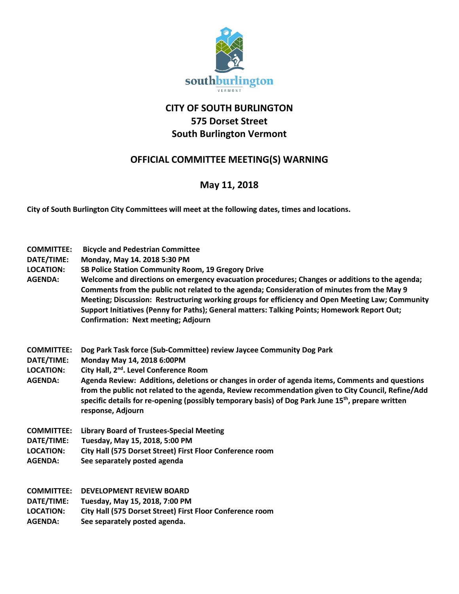

## **CITY OF SOUTH BURLINGTON 575 Dorset Street South Burlington Vermont**

## **OFFICIAL COMMITTEE MEETING(S) WARNING**

## **May 11, 2018**

**City of South Burlington City Committees will meet at the following dates, times and locations.** 

- **COMMITTEE: Bicycle and Pedestrian Committee**
- **DATE/TIME: Monday, May 14. 2018 5:30 PM**
- **LOCATION: SB Police Station Community Room, 19 Gregory Drive**
- **AGENDA: Welcome and directions on emergency evacuation procedures; Changes or additions to the agenda; Comments from the public not related to the agenda; Consideration of minutes from the May 9 Meeting; Discussion: Restructuring working groups for efficiency and Open Meeting Law; Community Support Initiatives (Penny for Paths); General matters: Talking Points; Homework Report Out; Confirmation: Next meeting; Adjourn**
- **COMMITTEE: Dog Park Task force (Sub-Committee) review Jaycee Community Dog Park**
- **DATE/TIME: Monday May 14, 2018 6:00PM**
- **LOCATION: City Hall, 2nd. Level Conference Room**
- **AGENDA: Agenda Review: Additions, deletions or changes in order of agenda items, Comments and questions from the public not related to the agenda, Review recommendation given to City Council, Refine/Add specific details for re-opening (possibly temporary basis) of Dog Park June 15th, prepare written response, Adjourn**
- **COMMITTEE: Library Board of Trustees-Special Meeting**
- **DATE/TIME: Tuesday, May 15, 2018, 5:00 PM**
- **LOCATION: City Hall (575 Dorset Street) First Floor Conference room**
- **AGENDA: See separately posted agenda**

| <b>COMMITTEE:</b> | <b>DEVELOPMENT REVIEW BOARD</b> |
|-------------------|---------------------------------|
|                   |                                 |

- **DATE/TIME: Tuesday, May 15, 2018, 7:00 PM**
- **LOCATION: City Hall (575 Dorset Street) First Floor Conference room**
- **AGENDA: See separately posted agenda.**